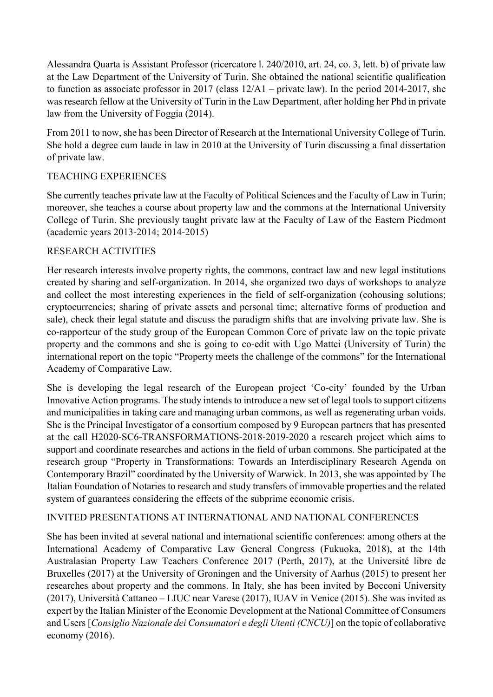Alessandra Quarta is Assistant Professor (ricercatore l. 240/2010, art. 24, co. 3, lett. b) of private law at the Law Department of the University of Turin. She obtained the national scientific qualification to function as associate professor in 2017 (class 12/A1 – private law). In the period 2014-2017, she was research fellow at the University of Turin in the Law Department, after holding her Phd in private law from the University of Foggia (2014).

From 2011 to now, she has been Director of Research at the International University College of Turin. She hold a degree cum laude in law in 2010 at the University of Turin discussing a final dissertation of private law.

## TEACHING EXPERIENCES

She currently teaches private law at the Faculty of Political Sciences and the Faculty of Law in Turin; moreover, she teaches a course about property law and the commons at the International University College of Turin. She previously taught private law at the Faculty of Law of the Eastern Piedmont (academic years 2013-2014; 2014-2015)

## RESEARCH ACTIVITIES

Her research interests involve property rights, the commons, contract law and new legal institutions created by sharing and self-organization. In 2014, she organized two days of workshops to analyze and collect the most interesting experiences in the field of self-organization (cohousing solutions; cryptocurrencies; sharing of private assets and personal time; alternative forms of production and sale), check their legal statute and discuss the paradigm shifts that are involving private law. She is co-rapporteur of the study group of the European Common Core of private law on the topic private property and the commons and she is going to co-edit with Ugo Mattei (University of Turin) the international report on the topic "Property meets the challenge of the commons" for the International Academy of Comparative Law.

She is developing the legal research of the European project 'Co-city' founded by the Urban Innovative Action programs. The study intends to introduce a new set of legal tools to support citizens and municipalities in taking care and managing urban commons, as well as regenerating urban voids. She is the Principal Investigator of a consortium composed by 9 European partners that has presented at the call H2020-SC6-TRANSFORMATIONS-2018-2019-2020 a research project which aims to support and coordinate researches and actions in the field of urban commons. She participated at the research group "Property in Transformations: Towards an Interdisciplinary Research Agenda on Contemporary Brazil" coordinated by the University of Warwick. In 2013, she was appointed by The Italian Foundation of Notaries to research and study transfers of immovable properties and the related system of guarantees considering the effects of the subprime economic crisis.

## INVITED PRESENTATIONS AT INTERNATIONAL AND NATIONAL CONFERENCES

She has been invited at several national and international scientific conferences: among others at the International Academy of Comparative Law General Congress (Fukuoka, 2018), at the 14th Australasian Property Law Teachers Conference 2017 (Perth, 2017), at the Université libre de Bruxelles (2017) at the University of Groningen and the University of Aarhus (2015) to present her researches about property and the commons. In Italy, she has been invited by Bocconi University (2017), Università Cattaneo – LIUC near Varese (2017), IUAV in Venice (2015). She was invited as expert by the Italian Minister of the Economic Development at the National Committee of Consumers and Users [*Consiglio Nazionale dei Consumatori e degli Utenti (CNCU)*] on the topic of collaborative economy (2016).